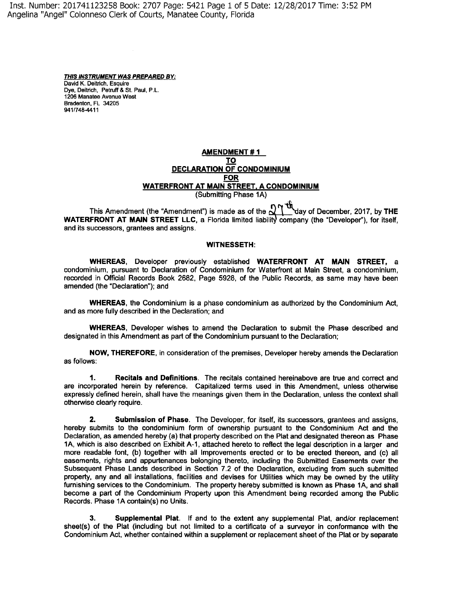Inst. Number: 201741123258 Book: 2707 Page: 5421 Page 1 of 5 Date: 12/28/2017 Time: 3:52 PM Angelina "Angel" Colonneso Clerk of Courts, Manatee County, Florida

> **THIS INSTRUMENT WAS PREPARED BY:**  David K. Deitrich, Esquire Dye, Deitrich, Petruff & St. Paul, P.L. 1206 Manatee Avenue West Bradenton, FL 34205 941/748-4411

## **AMENDMENT# 1 TO DECLARATION OF CONDOMINIUM FOR WATERFRONT AT MAIN STREET. A CONDOMINIUM**  (Submitting Phase 1A)

This Amendment (the "Amendment") is made as of the  $\frac{1}{2}$  day of December, 2017, by THE **WATERFRONT AT MAIN STREET LLC, a Florida limited liability company (the "Developer"), for itself,** and its successors, grantees and assigns.

## **WITNESSETH:**

**WHEREAS,** Developer previously established **WATERFRONT AT MAIN STREET,** a condominium, pursuant to Declaration of Condominium for Waterfront at Main Street, a condominium, recorded in Official Records Book 2682, Page 5928, of the Public Records, as same may have been amended (the "Declaration"); and

**WHEREAS,** the Condominium is a phase condominium as authorized by the Condominium Act, and as more fully described in the Declaration; and

**WHEREAS,** Developer wishes to amend the Declaration to submit the Phase described and designated in this Amendment as part of the Condominium pursuant to the Declaration;

**NOW, THEREFORE,** in consideration of the premises, Developer hereby amends the Declaration as follows:

**1. Recitals and Definitions.** The recitals contained hereinabove are true and correct and are incorporated herein by reference. Capitalized terms used in this Amendment, unless otherwise expressly defined herein, shall have the meanings given them in the Declaration, unless the context shall otherwise clearly require.

**2. Submission of Phase.** The Developer, for itself, its successors, grantees and assigns, hereby submits to the condominium form of ownership pursuant to the Condominium Act and the Declaration, as amended hereby (a) that property described on the Plat and designated thereon as Phase 1A, which is also described on Exhibit A-1, attached hereto to reflect the legal description in a larger and more readable font, (b) together with all Improvements erected or to be erected thereon, and (c) all easements, rights and appurtenances belonging thereto, including the Submitted Easements over the Subsequent Phase Lands described in Section 7.2 of the Declaration, excluding from such submitted property, any and all installations, facilities and devises for Utilities which may be owned by the utility furnishing services to the Condominium. The property hereby submitted is known as Phase 1A, and shall become a part of the Condominium Property upon this Amendment being recorded among the Public Records. Phase 1A contain(s) no Units.

**3. Supplemental Plat.** If and to the extent any supplemental Plat, and/or replacement sheet(s) of the Plat (including but not limited to a certificate of a surveyor in conformance with the Condominium Act, whether contained within a supplement or replacement sheet of the Plat or by separate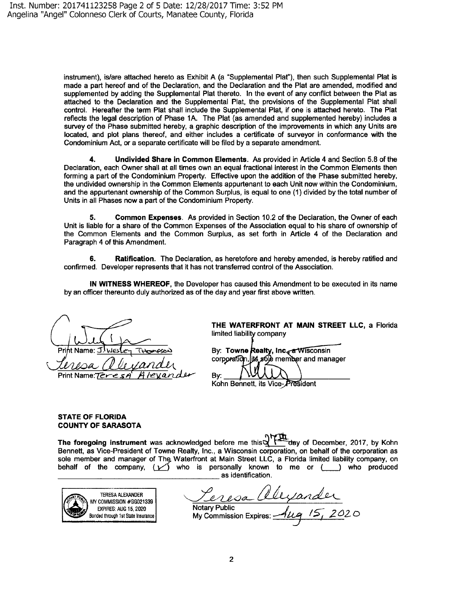instrument), is/are attached hereto as Exhibit A (a "Supplemental Plat"), then such Supplemental Plat is made a part hereof and of the Declaration, and the Declaration and the Plat are amended, modified and supplemented by adding the Supplemental Plat thereto. In the event of any conflict between the Plat as attached to the Declaration and the Supplemental Plat, the provisions of the Supplemental Plat shall control. Hereafter the term Plat shall include the Supplemental Plat, if one is attached hereto. The Plat reflects the legal description of Phase 1A. The Plat (as amended and supplemented hereby) includes a survey of the Phase submitted hereby, a graphic description of the improvements in which any Units are located, and plot plans thereof, and either includes a certificate of surveyor in conformance with the Condominium Act, or a separate certificate will be filed by a separate amendment.

**4. Undivided Share in Common Elements.** As provided in Article 4 and Section 5.8 of the Declaration, each Owner shall at all times own an equal fractional interest in the Common Elements then forming a part of the Condominium Property. Effective upon the addition of the Phase submitted hereby, the undivided ownership in the Common Elements appurtenant to each Unit now within the Condominium, and the appurtenant ownership of the Common Surplus, is equal to one (1) divided by the total number of Units in all Phases now a part of the Condominium Property.

**5. Common Expenses.** As provided in Section 10.2 of the Declaration, the Owner of each Unit is liable for a share of the Common Expenses of the Association equal to his share of ownership of the Common Elements and the Common Surplus, as set forth in Article 4 of the Declaration and Paragraph 4 of this Amendment.

**6.** Ratification. The Declaration, as heretofore and hereby amended, is hereby ratified and confirmed. Developer represents that it has not transferred control of the Association.

**IN WITNESS WHEREOF,** the Developer has caused this Amendment to be executed in its name by an officer thereunto duly authorized as of the day and year first above written.

Print Name: Print Name: Tere

**THE WATERFRONT AT MAIN STREET LLC, a** Florida limited liability company

By: Towne Realty, Inc<sub>s</sub> a Wisconsin corporation, jts sole member and manager

Kohn Bennett, its Vice-President

**STATE OF FLORIDA** 

**COUNTY OF SARASOTA** 

**The foregoing instrument** was acknowledged before me this **of December, 2017, by Kohn** Bennett, as Vice-President of Towne Realty, Inc., a Wisconsin corporation, on behalf of the corporation as sole member and manager of The Waterfront at Main Street LLC, a Florida limited liability company, on behalf of the company,  $\sum$  who is personally known to me or  $(\_\_\_)$  who produced as identification.

Bv:

TERESA ALEXANDER OMMISSION #GG021339 EXPIRES: AUG 15, 2020 Bonded through 1st State Insurance

<u>Leresa alexander</u> Notary Public / *c-*My Commission Expires: ~'-<J I;;> *1* 2 62 <sup>0</sup>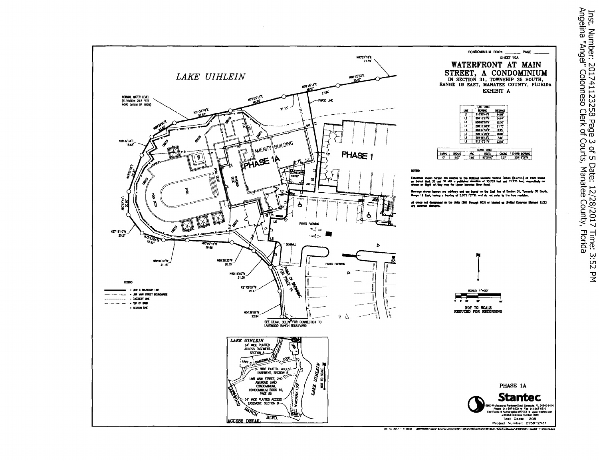

Dec 13, 2017 - 11:02:23 JBN###0NC:\Users\pronnon\Documents\v-drhe\2156\eclive\215612531\_Rete -<br>Condet \215412531v-appl03-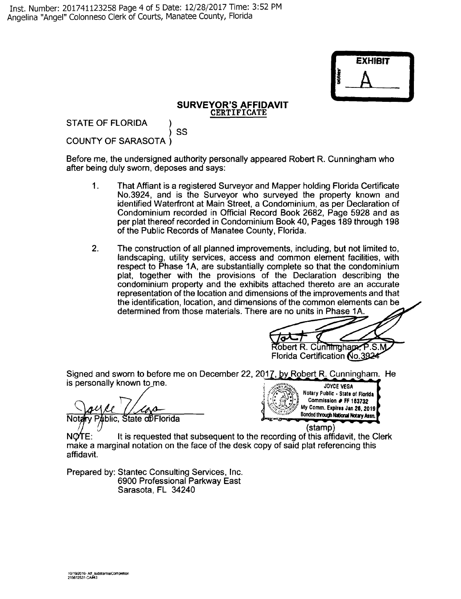

## **SURVEYOR'S AFFIDAVIT CERTIFICATE**

STATE OF FLORIDA ) ss COUNTY OF SARASOTA)

Before me, the undersigned authority personally appeared Robert R. Cunningham who after being duly sworn, deposes and says:

- 1. That Affiant is a registered Surveyor and Mapper holding Florida Certificate No.3924, and is the Surveyor who surveyed the property known and identified Waterfront at Main Street, a Condominium, as per Declaration of Condominium recorded in Official Record Book 2682, Page 5928 and as per plat thereof recorded in Condominium Book 40, Pages 189 through 198 of the Public Records of Manatee County, Florida.
- 2. The construction of all planned improvements, including, but not limited to, landscaping, utility services, access and common element facilities, with respect to Phase 1A, are substantially complete so that the condominium plat, together with the provisions of the Declaration describing the condominium property and the exhibits attached thereto are an accurate representation of the location and dimensions of the improvements and that the identification, location, and dimensions of the common elements can be determined from those materials. There are no units in Phase 1A.

Robert R. Cunningham, P.S.M

Florida Certification No.3924

Signed and sworn to before me on December 22, 2017, by Robert R. Cunningham. He is personally known to me. **In the contract of the second of the second of the second of the second of the second of the second of the second of the second of the second of the second of the second of the second of the sec** 

Public, State of Florida

<sup>~</sup>*/-P:~•Y:-..* **Notary Fubllc** • **State of Florlda**  ' ~ · • - ,. • ~ **Commission** # **FF 183732**   $My$  Comm. Expires Jan 26, 2019 Bonded through National Notary Assn.

(stamp)

 $NQTE:$  It is requested that subsequent to the recording of this affidavit, the Clerk make a marginal notation on the face of the desk copy of said plat referencing this affidavit.

Prepared by: Stantec Consulting Services, Inc. 6900 Professional Parkway East Sarasota, FL 34240